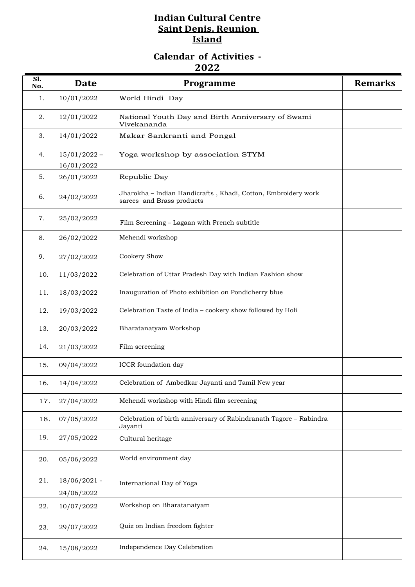## **Indian Cultural Centre Saint Denis, Reunion Island**

## **Calendar of Activities - 2022**

| Sl.<br>No. | <b>Date</b>                  | Programme                                                                                  | <b>Remarks</b> |
|------------|------------------------------|--------------------------------------------------------------------------------------------|----------------|
| 1.         | 10/01/2022                   | World Hindi Day                                                                            |                |
| 2.         | 12/01/2022                   | National Youth Day and Birth Anniversary of Swami<br>Vivekananda                           |                |
| 3.         | 14/01/2022                   | Makar Sankranti and Pongal                                                                 |                |
| 4.         | $15/01/2022 -$<br>16/01/2022 | Yoga workshop by association STYM                                                          |                |
| 5.         | 26/01/2022                   | Republic Day                                                                               |                |
| 6.         | 24/02/2022                   | Jharokha - Indian Handicrafts, Khadi, Cotton, Embroidery work<br>sarees and Brass products |                |
| 7.         | 25/02/2022                   | Film Screening - Lagaan with French subtitle                                               |                |
| 8.         | 26/02/2022                   | Mehendi workshop                                                                           |                |
| 9.         | 27/02/2022                   | Cookery Show                                                                               |                |
| 10.        | 11/03/2022                   | Celebration of Uttar Pradesh Day with Indian Fashion show                                  |                |
| 11.        | 18/03/2022                   | Inauguration of Photo exhibition on Pondicherry blue                                       |                |
| 12.        | 19/03/2022                   | Celebration Taste of India - cookery show followed by Holi                                 |                |
| 13.        | 20/03/2022                   | Bharatanatyam Workshop                                                                     |                |
| 14.        | 21/03/2022                   | Film screening                                                                             |                |
| 15.        | 09/04/2022                   | ICCR foundation day                                                                        |                |
| 16.        | 14/04/2022                   | Celebration of Ambedkar Jayanti and Tamil New year                                         |                |
| 17.        | 27/04/2022                   | Mehendi workshop with Hindi film screening                                                 |                |
| 18.        | 07/05/2022                   | Celebration of birth anniversary of Rabindranath Tagore - Rabindra<br>Jayanti              |                |
| 19.        | 27/05/2022                   | Cultural heritage                                                                          |                |
| 20.        | 05/06/2022                   | World environment day                                                                      |                |
| 21.        | $18/06/2021$ -               | International Day of Yoga                                                                  |                |
| 22.        | 24/06/2022<br>10/07/2022     | Workshop on Bharatanatyam                                                                  |                |
|            |                              |                                                                                            |                |
| 23.        | 29/07/2022                   | Quiz on Indian freedom fighter                                                             |                |
| 24.        | 15/08/2022                   | Independence Day Celebration                                                               |                |